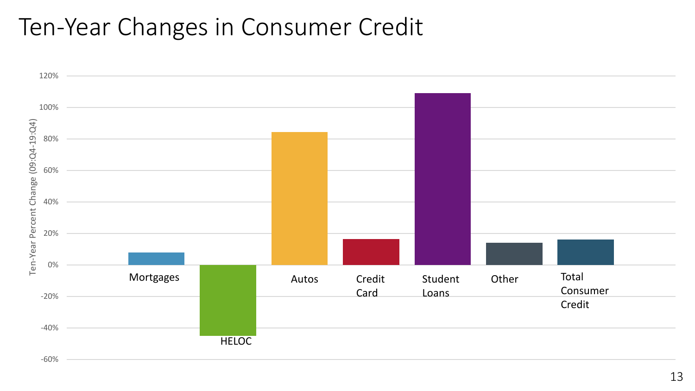# Ten-Year Changes in Consumer Credit

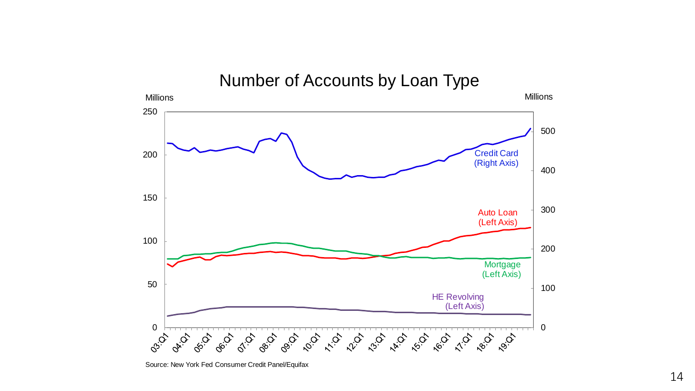

Source: New York Fed Consumer Credit Panel/Equifax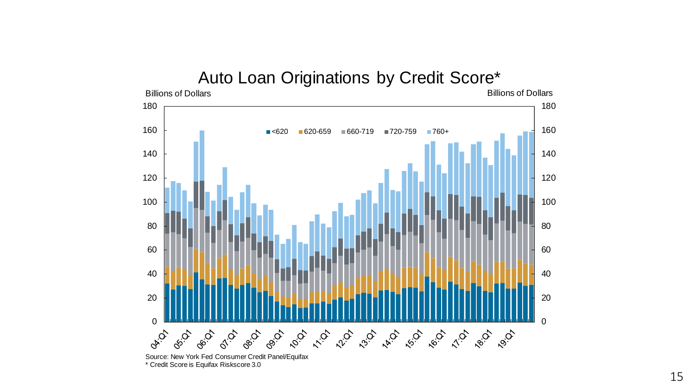## Auto Loan Originations by Credit Score\*<br>Billions of Dollars



\* Credit Score is Equifax Riskscore 3.0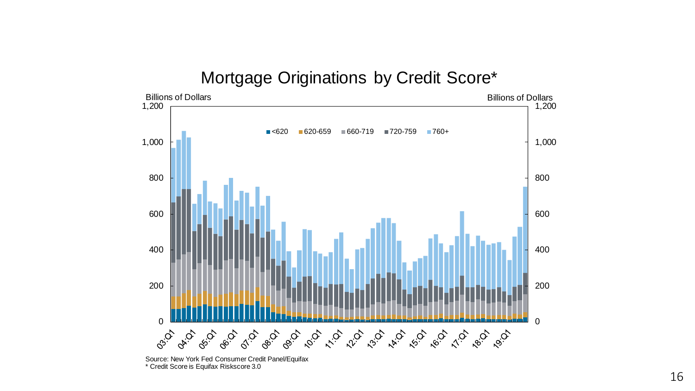#### Mortgage Originations by Credit Score\*



Source: New York Fed Consumer Credit Panel/Equifax \* Credit Score is Equifax Riskscore 3.0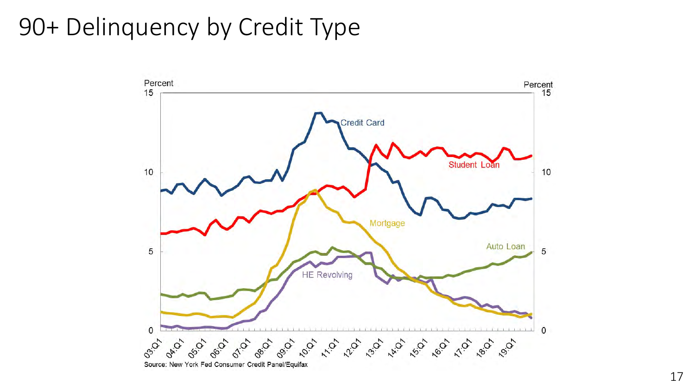# 90+ Delinquency by Credit Type

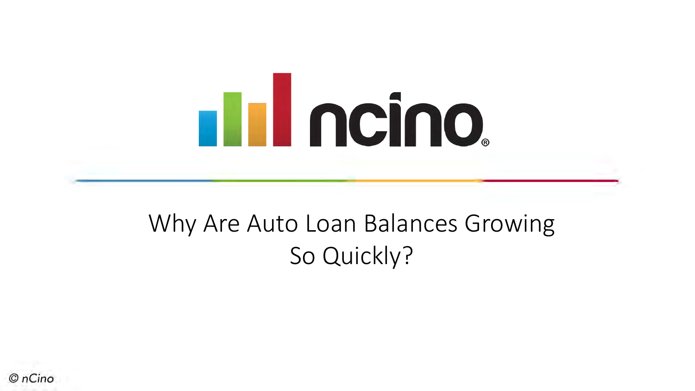

# Why Are Auto Loan Balances Growing So Quickly?

 $OnCino$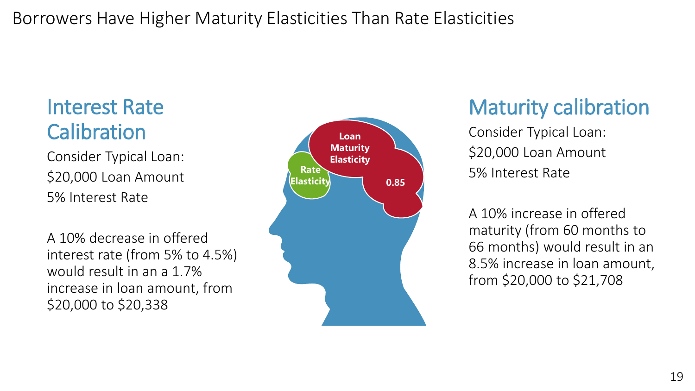#### Borrowers Have Higher Maturity Elasticities Than Rate Elasticities

#### Interest Rate **Calibration**

Consider Typical Loan: \$20,000 Loan Amount 5% Interest Rate

A 10% decrease in offered interest rate (from 5% to 4.5%) would result in an a 1.7% increase in loan amount, from \$20,000 to \$20,338



## Maturity calibration

Consider Typical Loan: \$20,000 Loan Amount 5% Interest Rate

A 10% increase in offered maturity (from 60 months to 66 months) would result in an 8.5% increase in loan amount, from \$20,000 to \$21,708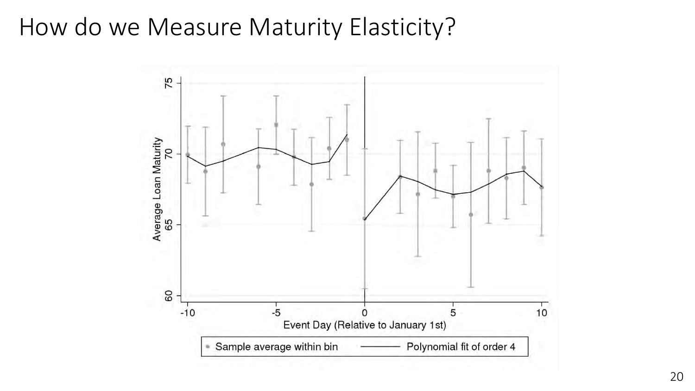### How do we Measure Maturity Elasticity?

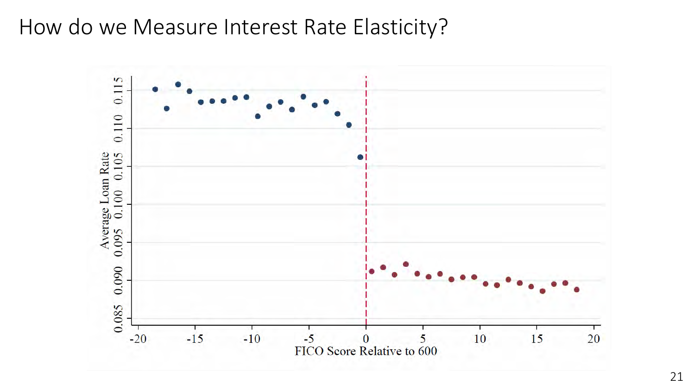#### How do we Measure Interest Rate Elasticity?

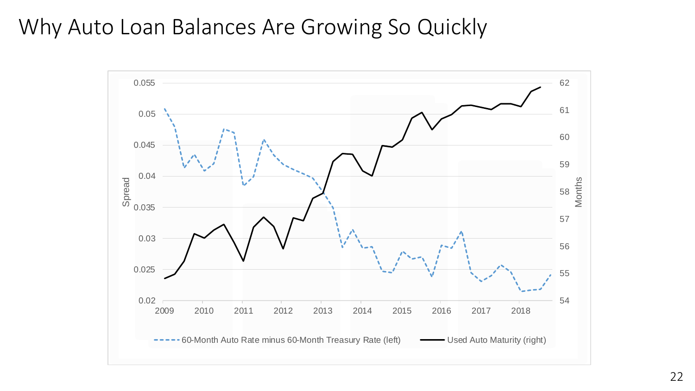#### Why Auto Loan Balances Are Growing So Quickly

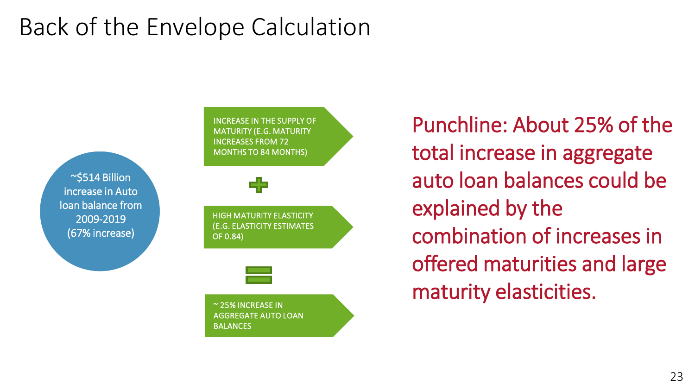# Back of the Envelope Calculation

~\$514 Billion increase in Auto loan balance from 2009-2019 (67% increase)

INCREASE IN THE SUPPLY OF MATURITY (E.G. MATURITY INCREASES FROM 72 MONTHS TO 84 MONTHS)

HIGH MATURITY ELASTICITY (E.G. ELASTICITY ESTIMATES OF 0.84)



~ 25% INCREASE IN AGGREGATE AUTO LOAN **BALANCES** 

Punchline: About 25% of the total increase in aggregate auto loan balances could be explained by the combination of increases in offered maturities and large maturity elasticities.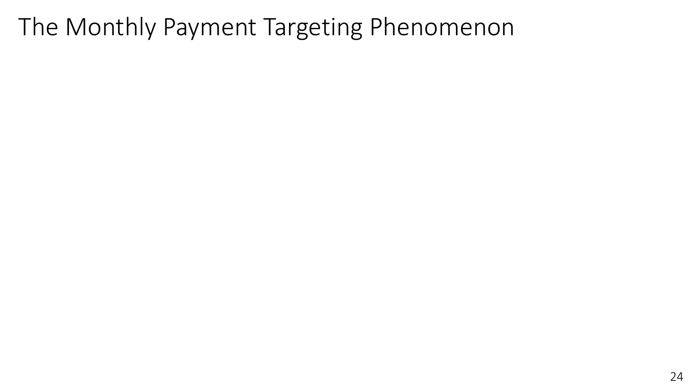# The Monthly Payment Targeting Phenomenon